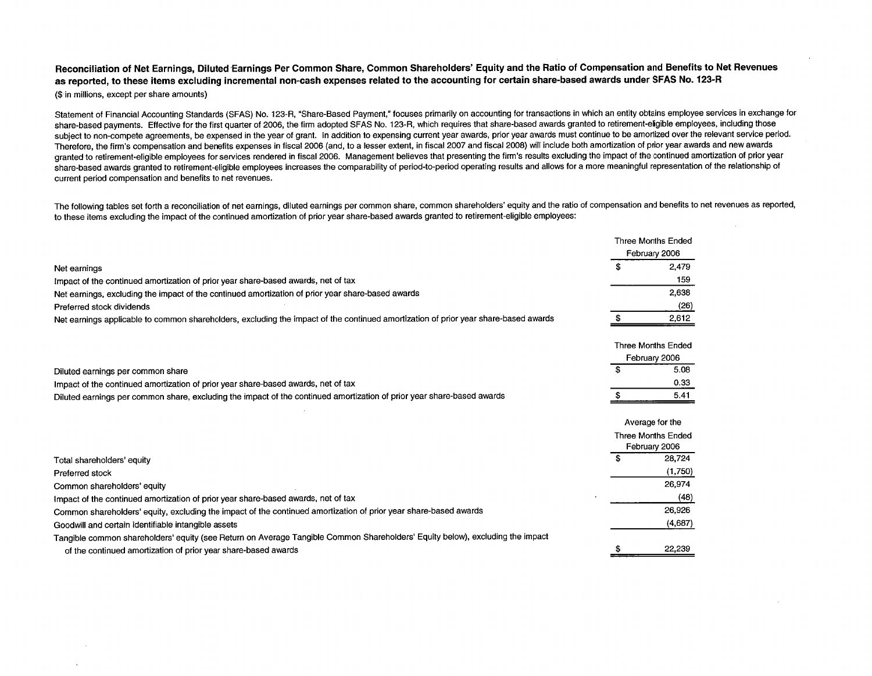Reconcilation of Net Earnings, Diluted Earnings Per Common Share, Common Shareholders' Equity and the Ratio of Compensation and Benefits to Net Revenues as reported, to these items excluding incremental non-cash expenses related to the accounting for certain share-based awards under SFAS No. 123-R (\$ in millons, except per share amounts)

Statement of Financial Accounting Standards (SFAS) No. 123-R, "Share-Based Payment," focuses primarily on accounting for transactions in which an entity obtains employee services in exchange for share-based payments. Effective for the first quarter of 2006, the firm adopted SFAS No. 123-R, which requires that share-based awards granted to retirement-eligible employees, including those subject to non-compete agreements, be expensed in the year of grant. In addition to expensing current year awards, prior year awards must continue to be amortized over the relevant service period. Therefore, the firm's compensation and benefits expenses in fiscal 2006 (and, to a lesser extent, in fiscal 2007 and fiscal 2008) will include both amortization of prior year awards and new awards granted to retirement-eligible employees for services rendered in fiscal 2006. Management believes that presenting the firm's results excluding the impact of the continued amortization of prior year share-based awards granted to retirement-eligible employees increases the comparability of period-to-period operating results and allows for a more meaningful representation of the relationship of current period compensation and benefits to net revenues.

The following tables set forth a reconciliation of net earnings, diluted earnings per common share, common shareholders' equity and the ratio of compensation and benefits to net revenues as reported, to these items excluding the impact of the continued amortization of prior year share-based awards granted to retirement-eligible employees:

|                                                                                                                                     | <b>Three Months Ended</b>           |
|-------------------------------------------------------------------------------------------------------------------------------------|-------------------------------------|
|                                                                                                                                     | February 2006                       |
| Net earnings                                                                                                                        | \$<br>2,479                         |
| Impact of the continued amortization of prior year share-based awards, net of tax                                                   | 159                                 |
| Net earnings, excluding the impact of the continued amortization of prior year share-based awards                                   | 2.638                               |
| Preferred stock dividends                                                                                                           | (26)                                |
| Net earnings applicable to common shareholders, excluding the impact of the continued amortization of prior year share-based awards | 2,612                               |
|                                                                                                                                     | <b>Three Months Ended</b>           |
|                                                                                                                                     | February 2006                       |
| Diluted earnings per common share                                                                                                   | \$<br>5.08                          |
| Impact of the continued amortization of prior year share-based awards, net of tax                                                   | 0.33                                |
| Diluted earnings per common share, excluding the impact of the continued amortization of prior year share-based awards              | 5.41                                |
|                                                                                                                                     | Average for the                     |
|                                                                                                                                     | Three Months Ended<br>February 2006 |
| Total shareholders' equity                                                                                                          | \$<br>28,724                        |
| Preferred stock                                                                                                                     | (1,750)                             |
| Common shareholders' equity                                                                                                         | 26,974                              |
| Impact of the continued amortization of prior year share-based awards, net of tax                                                   | (48)                                |
| Common shareholders' equity, excluding the impact of the continued amortization of prior year share-based awards                    | 26,926                              |
| Goodwill and certain identifiable intangible assets                                                                                 | (4,687)                             |
| Tangible common shareholders' equity (see Return on Average Tangible Common Shareholders' Equity below), excluding the impact       |                                     |
| of the continued amortization of prior year share-based awards                                                                      | 22,239                              |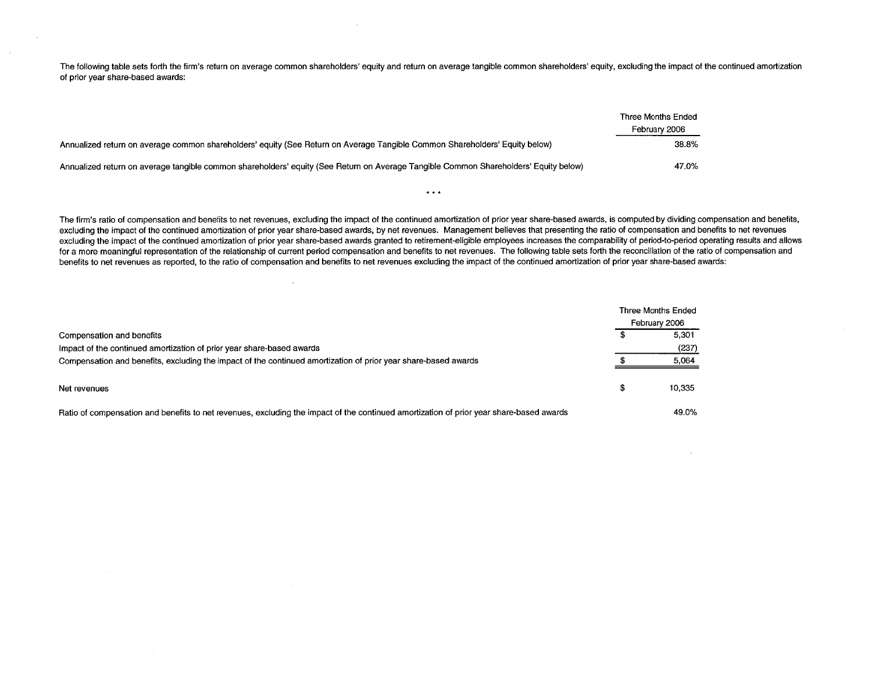The following table sets forth the firm's return on average common shareholders' equity and return on average tangible common shareholders' equity, excluding the impact of the continued amortization of prior year share-based awards:

|                                                                                                                                      | Three Months Ended |
|--------------------------------------------------------------------------------------------------------------------------------------|--------------------|
|                                                                                                                                      | February 2006      |
| Annualized return on average common shareholders' equity (See Return on Average Tangible Common Shareholders' Equity below)          | 38.8%              |
| Annualized return on average tangible common shareholders' equity (See Return on Average Tangible Common Shareholders' Equity below) | 47.0%              |

 $\sim$ 

The firm's ratio of compensation and benefits to net revenues, excluding the impact of the continued amortization of prior year share-based awards, is computed by dividing compensation and benefits, excluding the impact of the continued amortization of prior year share-based awards, by net revenues. Management believes that presenting the ratio of compensation and benefits to net revenues excluding the impact of the continued amortization of prior year share-based awards granted to retirement-eligible employees increases the comparability of period-to-period operating results and allows for a more meaningful representation of the relationship of current period compensation and benefits to net revenues. The following table sets forth the reconciliation of the ratio of compensation and benefits to net revenues as reported, to the ratio of compensation and benefits to net revenues excluding the impact of the continued amortization of prior year share-based awards:

 $\pm$   $\pm$   $\pm$ 

|                                                                                                                                         |   | Three Months Ended |
|-----------------------------------------------------------------------------------------------------------------------------------------|---|--------------------|
|                                                                                                                                         |   | February 2006      |
| Compensation and benefits                                                                                                               |   | 5.301              |
| Impact of the continued amortization of prior year share-based awards                                                                   |   | (237)              |
| Compensation and benefits, excluding the impact of the continued amortization of prior year share-based awards                          |   | 5.064              |
|                                                                                                                                         |   |                    |
| Net revenues                                                                                                                            | Ф | 10.335             |
| Ratio of compensation and benefits to net revenues, excluding the impact of the continued amortization of prior year share-based awards |   | 49.0%              |

 $\sim$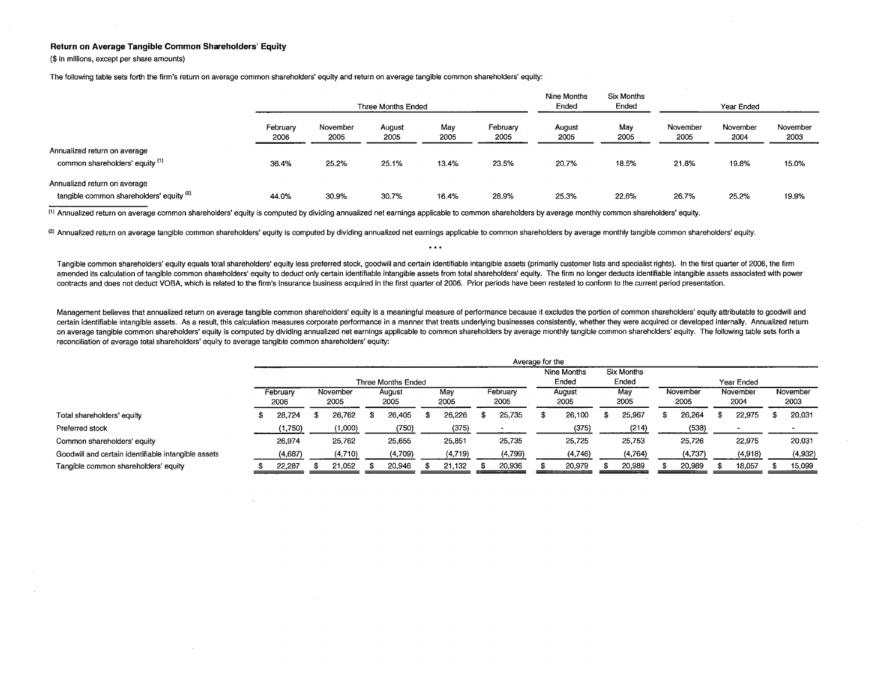## Return on Average Tangible Common Shareholders' Equity

(\$ in milions, except per share amounts)

The following table sets forth the firm's return on average common shareholders' equity and return on average tangible common shareholders' equity:

|                                                                          |                  |                  | Three Months Ended |             |                  | Nine Months<br>Ended | <b>Six Months</b><br>Ended | Year Ended       |                  |                  |  |  |
|--------------------------------------------------------------------------|------------------|------------------|--------------------|-------------|------------------|----------------------|----------------------------|------------------|------------------|------------------|--|--|
|                                                                          | February<br>2006 | November<br>2005 | August<br>2005     | May<br>2005 | February<br>2005 | August<br>2005       | May<br>2005                | November<br>2005 | November<br>2004 | November<br>2003 |  |  |
| Annualized return on average<br>common shareholders' equity (1)          | 36.4%            | 25.2%            | 25.1%              | 13.4%       | 23.5%            | 20.7%                | 18.5%                      | 21.8%            | 19.8%            | 15.0%            |  |  |
| Annualized return on average<br>tangible common shareholders' equity (2) | 44.0%            | 30.9%            | 30.7%              | 16.4%       | 28.9%            | 25.3%                | 22.6%                      | 26.7%            | 25.2%            | 19.9%            |  |  |

(1) Annualized return on average common shareholders' equity is computed by dividing annualized net earnings applicable to common shareholders by average monthly common shareholders' equity,

(2) Annualized return on average tangible common shareholders' equity is computed by dividing annualized net earnings applicable to common shareholders by average monthly tangible common shareholders' equity.

Tangible common shareholders' equity equals total shareholders' equity less preferred stock, goodwill and certain identifiable intangible assets (primarily customer lists and specialist rights). In the first quarter of 200 amended its calculation of tangible common shareholders' equity to deduct only certain identifiable intangible assets from total shareholders' equity. The firm no longer deducts identifiable intangible assets associated wi contracts and does not deduct VOSA, which is related to the firm's insurance business acquired in the first quarter of 2006, Prior periods have been restated to conform to the current period presentation,

 $\bullet$  +  $\bullet$ 

Management believes that annualized return on average tangible common shareholders' equity is a meaningful measure of performance because it excludes the portion of common shareholders' equity attributable to goodwill and certain identifiable intangible assets. As a result, this calculation measures corporate performance in a manner that treats underlying businesses consistently, whether they were acquired or developed internally. Annualize on average tangible common shareholders' equity is computed by dividing annualized net earnings applicable to common shareholders by average monthly tangible common shareholders' equity. The following table sets forth a reconcilation of average total shareholders' equity to average tangible common shareholders' equity:

|                                                     |                           |  |                  |  |                |  |             |  | Average for the      |                     |             |  |                  |                  |         |                  |         |
|-----------------------------------------------------|---------------------------|--|------------------|--|----------------|--|-------------|--|----------------------|---------------------|-------------|--|------------------|------------------|---------|------------------|---------|
|                                                     | <b>Three Months Ended</b> |  |                  |  |                |  |             |  | Nine Months<br>Ended | Six Months<br>Ended | Year Ended  |  |                  |                  |         |                  |         |
|                                                     | February<br>2006          |  | November<br>2005 |  | August<br>2005 |  | Mav<br>2005 |  | February<br>2005     | August<br>2005      | May<br>2005 |  | November<br>2005 | November<br>2004 |         | November<br>2003 |         |
| Total shareholders' equity                          | 28,724                    |  | 26,762           |  | 26.405         |  | 26.226      |  | 25,735               | 26,100              | 25.967      |  | 26,264           |                  | 22,975  |                  | 20,031  |
| Preferred stock                                     | (1,750)                   |  | (000,1)          |  | (750)          |  | (375)       |  |                      | (375)               | (214)       |  | (538)            |                  |         |                  |         |
| Common shareholders' equity                         | 26,974                    |  | 25,762           |  | 25.655         |  | 25,851      |  | 25,735               | 25,725              | 25,753      |  | 25,726           |                  | 22,975  |                  | 20,031  |
| Goodwill and certain identifiable intangible assets | (4,687)                   |  | (4,710)          |  | (4,709)        |  | (4, 719)    |  | (4,799)              | (4,746)             | (4,764)     |  | (4,737)          |                  | (4,918) |                  | (4,932) |
| Tangible common shareholders' equity                | 22,287                    |  | 21,052           |  | 20.946         |  | 21.132      |  | 20,936               | 20.979              | 20,989      |  | 20,989           |                  | 18,057  |                  | 15,099  |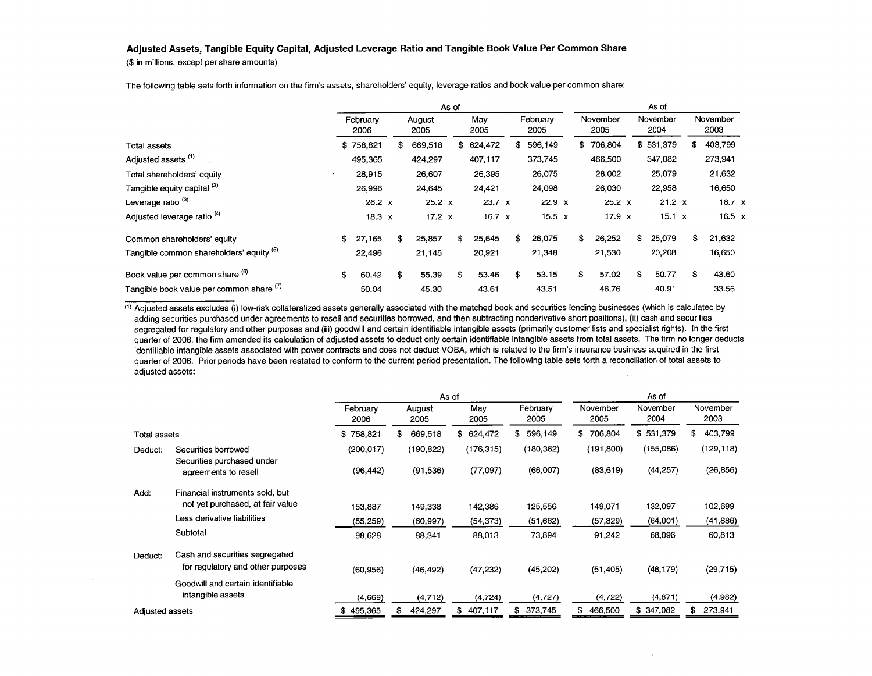## Adjusted Assets, Tangible Equity Capital, Adjusted Leverage Ratio and Tangible Book Value Per Common Share

(\$ in milions, except per share amounts)

|                                          |                  |                | As of |               |                  |    |                  | As of            |     |                  |  |
|------------------------------------------|------------------|----------------|-------|---------------|------------------|----|------------------|------------------|-----|------------------|--|
|                                          | February<br>2006 | August<br>2005 |       | May<br>2005   | February<br>2005 |    | November<br>2005 | November<br>2004 |     | November<br>2003 |  |
| Total assets                             | \$758,821        | \$<br>669,518  |       | \$624,472     | \$<br>596,149    | \$ | 706,804          | \$531,379        | \$. | 403,799          |  |
| Adjusted assets <sup>(1)</sup>           | 495,365          | 424,297        |       | 407,117       | 373,745          |    | 466,500          | 347,082          |     | 273,941          |  |
| Total shareholders' equity               | 28,915           | 26,607         |       | 26,395        | 26,075           |    | 28,002           | 25,079           |     | 21,632           |  |
| Tangible equity capital (2)              | 26,996           | 24,645         |       | 24,421        | 24,098           |    | 26,030           | 22,958           |     | 16,650           |  |
| Leverage ratio <sup>(3)</sup>            | $26.2 \times$    | $25.2 \times$  |       | $23.7 \times$ | $22.9 \times$    |    | $25.2 \times$    | 21.2 x           |     | 18.7 x           |  |
| Adjusted leverage ratio <sup>(4)</sup>   | $18.3 \times$    | $17.2 \times$  |       | 16.7 $\times$ | $15.5 \times$    |    | $17.9 \times$    | 15.1 x           |     | 16.5 $\times$    |  |
| Common shareholders' equity              | \$<br>27,165     | \$<br>25,857   |       | 25,645<br>\$  | \$<br>26,075     | \$ | 26,252           | 25,079<br>\$     | \$  | 21,632           |  |
| Tangible common shareholders' equity (b) | 22,496           | 21,145         |       | 20,921        | 21,348           |    | 21,530           | 20,208           |     | 16,650           |  |
| Book value per common share (6)          | \$<br>60.42      | \$<br>55.39    | \$    | 53.46         | \$<br>53.15      | \$ | 57.02            | \$<br>50.77      | \$  | 43.60            |  |
| Tangible book value per common share (1) | 50.04            | 45.30          |       | 43.61         | 43.51            |    | 46.76            | 40.91            |     | 33.56            |  |

The following table sets forth information on the firm's assets, shareholders' equity, leverage ratios and book value per common share:

 $<sup>(1)</sup>$  Adjusted assets excludes (i) low-risk collateralized assets generally associated with the matched book and securities lending businesses (which is calculated by</sup> adding securities purchased under agreements to resell and securities borrowed, and then subtracting nonderivative short positions), (ii) cash and securities segregated for regulatory and other purposes and (iii) goodwill and certain identifiable intangible assets (primarily customer lists and specialist rights). In the first quarter of 2006, the firm amended its calculation of adjusted assets to deduct only certain identifiable intangible assets from total assets, The firm no longer deducts identifiable intangible assets associated with power contracts and does not deduct VOBA, which is related to the firm's insurance business acquired in the first quarter of 2006, Prior periods have been restated to conform to the current period presentation, The following table sets forth a reconciliation of total assets to adjusted assets:

|                 |                                                                     |                  | As of          |               |                  |                  | As of            |                  |
|-----------------|---------------------------------------------------------------------|------------------|----------------|---------------|------------------|------------------|------------------|------------------|
|                 |                                                                     | February<br>2006 | August<br>2005 | May<br>2005   | February<br>2005 | November<br>2005 | November<br>2004 | November<br>2003 |
| Total assets    |                                                                     | \$758,821        | 669,518<br>\$. | 624,472<br>\$ | \$<br>596,149    | \$<br>706,804    | \$531,379        | 403,799<br>\$    |
| Deduct:         | Securities borrowed                                                 | (200, 017)       | (190, 822)     | (176, 315)    | (180, 362)       | (191, 800)       | (155,086)        | (129, 118)       |
|                 | Securities purchased under<br>agreements to resell                  | (96, 442)        | (91, 536)      | (77,097)      | (66,007)         | (83, 619)        | (44, 257)        | (26, 856)        |
| Add:            | Financial instruments sold, but                                     |                  |                |               |                  |                  |                  |                  |
|                 | not yet purchased, at fair value                                    | 153.887          | 149.338        | 142,386       | 125,556          | 149,071          | 132,097          | 102,699          |
|                 | Less derivative liabilities                                         | (55, 259)        | (60, 997)      | (54, 373)     | (51,662)         | (57, 829)        | (64,001)         | (41, 886)        |
|                 | Subtotal                                                            | 98,628           | 88,341         | 88.013        | 73,894           | 91,242           | 68,096           | 60,813           |
| Deduct:         | Cash and securities segregated<br>for regulatory and other purposes | (60, 956)        | (46, 492)      | (47, 232)     | (45, 202)        | (51, 405)        | (48, 179)        | (29, 715)        |
|                 | Goodwill and certain identifiable                                   |                  |                |               |                  |                  |                  |                  |
|                 | intangible assets                                                   | (4,669)          | (4,712)        | (4, 724)      | (4, 727)         | (4, 722)         | (4, 871)         | (4,982)          |
| Adjusted assets |                                                                     | \$495,365        | 424,297        | 407,117<br>\$ | \$<br>373,745    | 466,500<br>\$    | \$<br>347,082    | 273,941          |